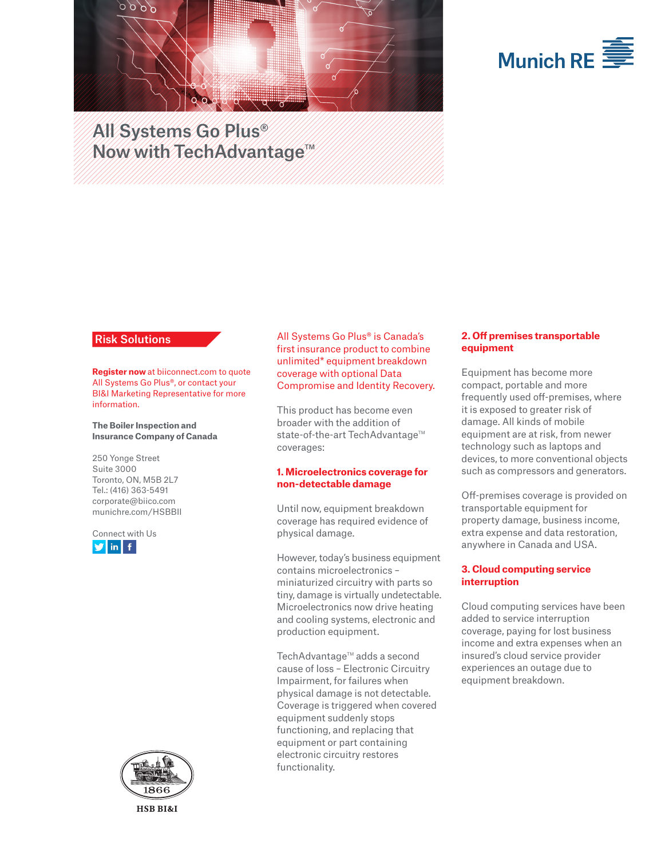



# All Systems Go Plus® Now with TechAdvantage<sup>TM</sup>

# Risk Solutions

**Register now** at biiconnect.com to quote All Systems Go Plus®, or contact your BI&I Marketing Representative for more information.

**The Boiler Inspection and Insurance Company of Canada**

250 Yonge Street Suite 3000 Toronto, ON, M5B 2L7 Tel.: (416) 363-5491 corporate@biico.com munichre.com/HSBBII





All Systems Go Plus® is Canada's first insurance product to combine unlimited\* equipment breakdown coverage with optional Data Compromise and Identity Recovery.

This product has become even broader with the addition of state-of-the-art TechAdvantage™ coverages:

#### **1. Microelectronics coverage for non-detectable damage**

Until now, equipment breakdown coverage has required evidence of physical damage.

However, today's business equipment contains microelectronics – miniaturized circuitry with parts so tiny, damage is virtually undetectable. Microelectronics now drive heating and cooling systems, electronic and production equipment.

TechAdvantage<sup>™</sup> adds a second cause of loss – Electronic Circuitry Impairment, for failures when physical damage is not detectable. Coverage is triggered when covered equipment suddenly stops functioning, and replacing that equipment or part containing electronic circuitry restores functionality.

# **2. Off premises transportable equipment**

Equipment has become more compact, portable and more frequently used off-premises, where it is exposed to greater risk of damage. All kinds of mobile equipment are at risk, from newer technology such as laptops and devices, to more conventional objects such as compressors and generators.

Off-premises coverage is provided on transportable equipment for property damage, business income, extra expense and data restoration, anywhere in Canada and USA.

# **3. Cloud computing service interruption**

Cloud computing services have been added to service interruption coverage, paying for lost business income and extra expenses when an insured's cloud service provider experiences an outage due to equipment breakdown.